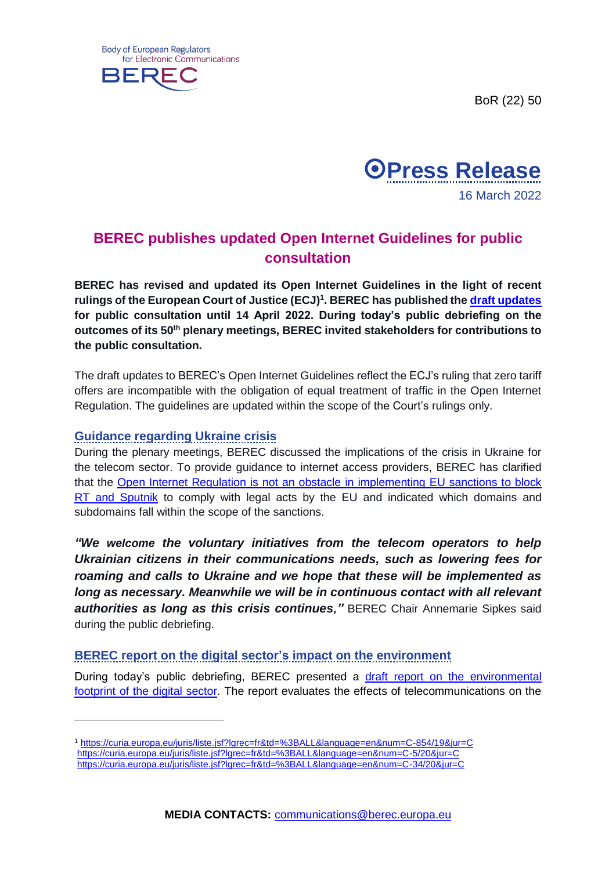BoR (22) 50





## **BEREC publishes updated Open Internet Guidelines for public consultation**

**BEREC has revised and updated its Open Internet Guidelines in the light of recent rulings of the European Court of Justice (ECJ) 1 . BEREC has published the [draft updates](https://berec.europa.eu/eng/document_register/subject_matter/berec/regulatory_best_practices/guidelines/10210-draft-update-to-the-berec-guidelines-on-the-implementation-of-the-open-internet-regulation) for public consultation until 14 April 2022. During today's public debriefing on the outcomes of its 50th plenary meetings, BEREC invited stakeholders for contributions to the public consultation.**

The draft updates to BEREC's Open Internet Guidelines reflect the ECJ's ruling that zero tariff offers are incompatible with the obligation of equal treatment of traffic in the Open Internet Regulation. The guidelines are updated within the scope of the Court's rulings only.

## **Guidance regarding Ukraine crisis**

-

During the plenary meetings, BEREC discussed the implications of the crisis in Ukraine for the telecom sector. To provide guidance to internet access providers, BEREC has clarified that the [Open Internet Regulation is not an obstacle in implementing EU sanctions to block](https://berec.europa.eu/eng/news_and_publications/whats_new/9321-berec-open-internet-regulation-is-not-an-obstacle-in-implementing-eu-sanctions-to-block-rt-and-sputnik)  [RT and Sputnik](https://berec.europa.eu/eng/news_and_publications/whats_new/9321-berec-open-internet-regulation-is-not-an-obstacle-in-implementing-eu-sanctions-to-block-rt-and-sputnik) to comply with legal acts by the EU and indicated which domains and subdomains fall within the scope of the sanctions.

*"We welcome the voluntary initiatives from the telecom operators to help Ukrainian citizens in their communications needs, such as lowering fees for roaming and calls to Ukraine and we hope that these will be implemented as long as necessary. Meanwhile we will be in continuous contact with all relevant authorities as long as this crisis continues,"* BEREC Chair Annemarie Sipkes said during the public debriefing.

## **BEREC report on the digital sector's impact on the environment**

During today's public debriefing, BEREC presented a [draft report on the environmental](https://berec.europa.eu/eng/document_register/subject_matter/berec/reports/10209-draft-berec-report-on-sustainability-assessing-berec8217s-contribution-to-limiting-the-impact-of-the-digital-sector-on-the-environment)  [footprint of the digital sector.](https://berec.europa.eu/eng/document_register/subject_matter/berec/reports/10209-draft-berec-report-on-sustainability-assessing-berec8217s-contribution-to-limiting-the-impact-of-the-digital-sector-on-the-environment) The report evaluates the effects of telecommunications on the

<sup>1</sup> <https://curia.europa.eu/juris/liste.jsf?lgrec=fr&td=%3BALL&language=en&num=C-854/19&jur=C> <https://curia.europa.eu/juris/liste.jsf?lgrec=fr&td=%3BALL&language=en&num=C-5/20&jur=C> <https://curia.europa.eu/juris/liste.jsf?lgrec=fr&td=%3BALL&language=en&num=C-34/20&jur=C>